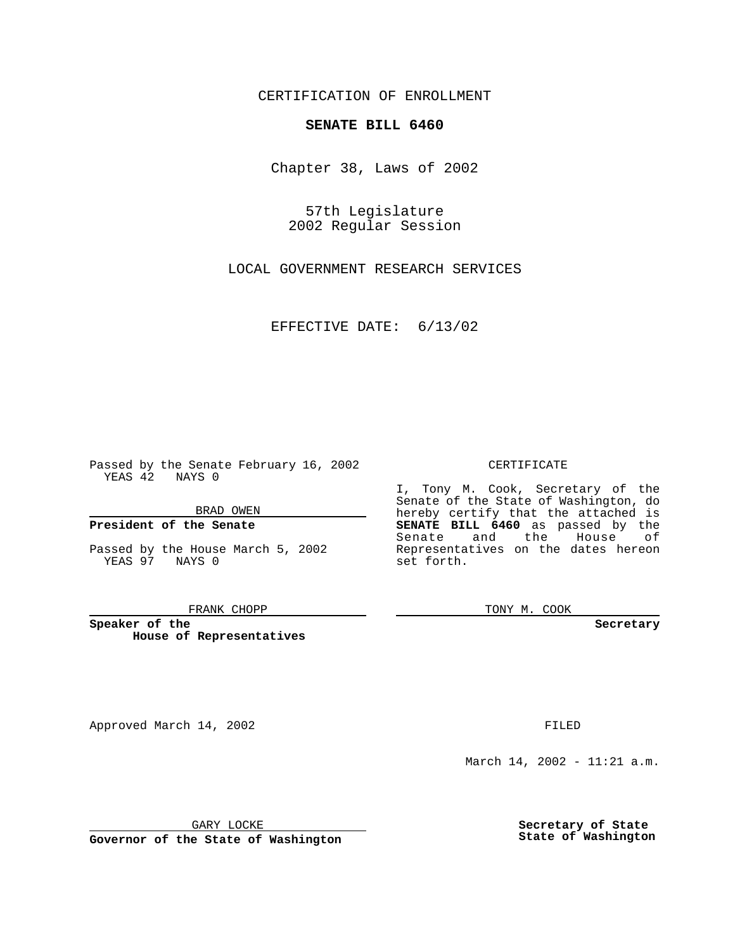CERTIFICATION OF ENROLLMENT

# **SENATE BILL 6460**

Chapter 38, Laws of 2002

57th Legislature 2002 Regular Session

LOCAL GOVERNMENT RESEARCH SERVICES

EFFECTIVE DATE: 6/13/02

Passed by the Senate February 16, 2002 YEAS 42 NAYS 0

BRAD OWEN

## **President of the Senate**

Passed by the House March 5, 2002 YEAS 97 NAYS 0

#### FRANK CHOPP

**Speaker of the House of Representatives**

Approved March 14, 2002 **FILED** 

### CERTIFICATE

I, Tony M. Cook, Secretary of the Senate of the State of Washington, do hereby certify that the attached is **SENATE BILL 6460** as passed by the Senate and the House of Representatives on the dates hereon set forth.

TONY M. COOK

**Secretary**

March 14, 2002 - 11:21 a.m.

GARY LOCKE

**Governor of the State of Washington**

**Secretary of State State of Washington**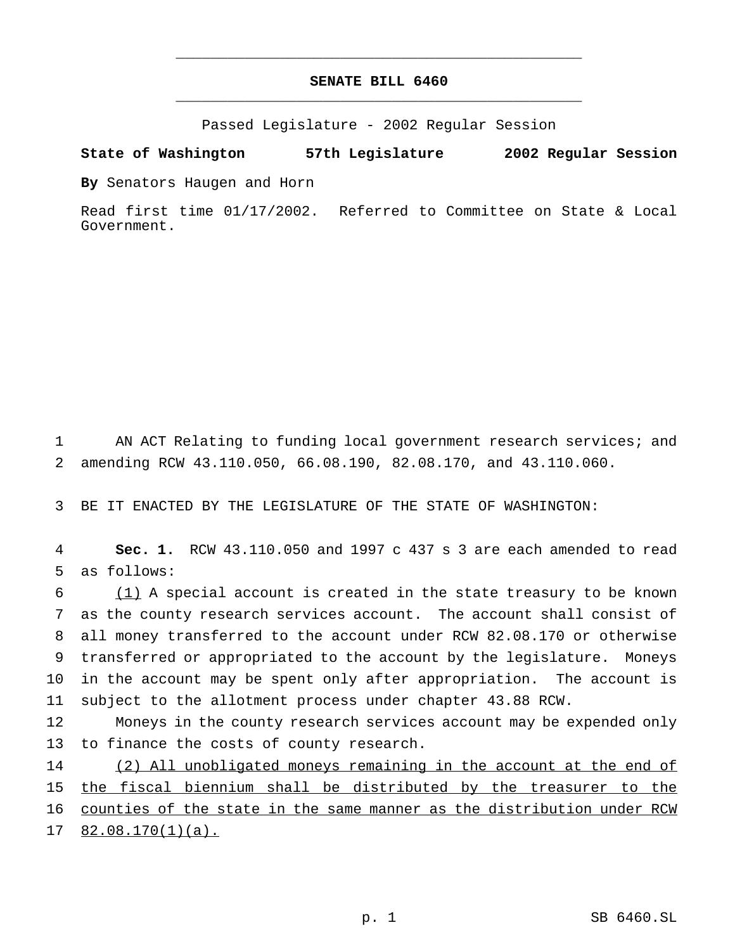# **SENATE BILL 6460** \_\_\_\_\_\_\_\_\_\_\_\_\_\_\_\_\_\_\_\_\_\_\_\_\_\_\_\_\_\_\_\_\_\_\_\_\_\_\_\_\_\_\_\_\_\_\_

\_\_\_\_\_\_\_\_\_\_\_\_\_\_\_\_\_\_\_\_\_\_\_\_\_\_\_\_\_\_\_\_\_\_\_\_\_\_\_\_\_\_\_\_\_\_\_

Passed Legislature - 2002 Regular Session

### **State of Washington 57th Legislature 2002 Regular Session**

**By** Senators Haugen and Horn

Read first time 01/17/2002. Referred to Committee on State & Local Government.

1 AN ACT Relating to funding local government research services; and 2 amending RCW 43.110.050, 66.08.190, 82.08.170, and 43.110.060.

3 BE IT ENACTED BY THE LEGISLATURE OF THE STATE OF WASHINGTON:

4 **Sec. 1.** RCW 43.110.050 and 1997 c 437 s 3 are each amended to read 5 as follows:

 (1) A special account is created in the state treasury to be known as the county research services account. The account shall consist of all money transferred to the account under RCW 82.08.170 or otherwise transferred or appropriated to the account by the legislature. Moneys in the account may be spent only after appropriation. The account is subject to the allotment process under chapter 43.88 RCW.

12 Moneys in the county research services account may be expended only 13 to finance the costs of county research.

14 (2) All unobligated moneys remaining in the account at the end of the fiscal biennium shall be distributed by the treasurer to the counties of the state in the same manner as the distribution under RCW 82.08.170(1)(a).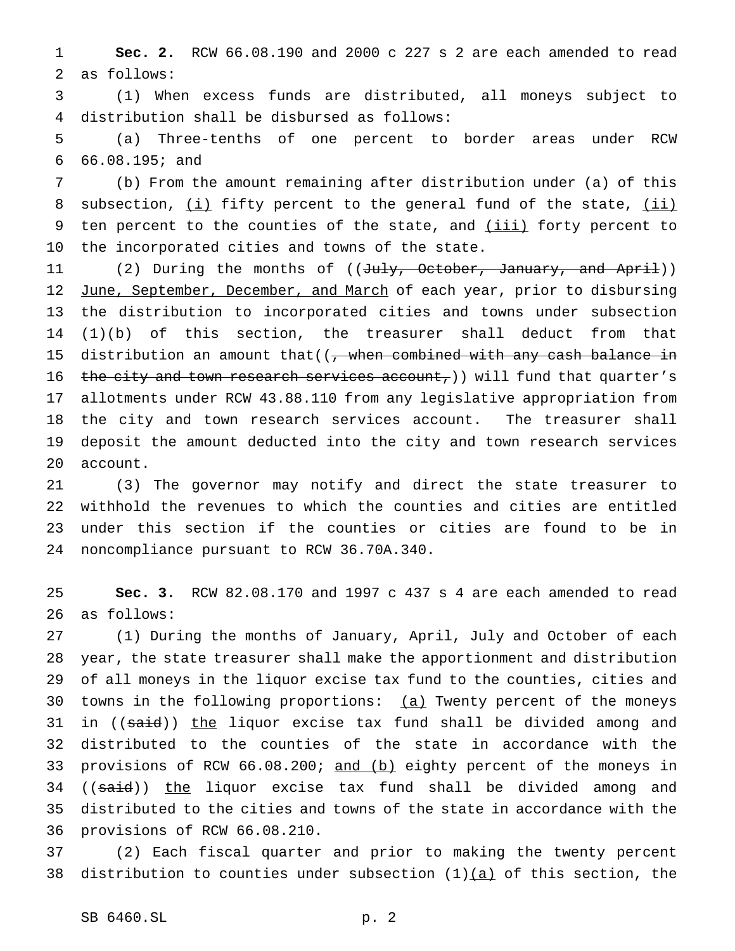**Sec. 2.** RCW 66.08.190 and 2000 c 227 s 2 are each amended to read as follows:

 (1) When excess funds are distributed, all moneys subject to distribution shall be disbursed as follows:

 (a) Three-tenths of one percent to border areas under RCW 66.08.195; and

 (b) From the amount remaining after distribution under (a) of this 8 subsection, (i) fifty percent to the general fund of the state, (ii) 9 ten percent to the counties of the state, and *(iii)* forty percent to the incorporated cities and towns of the state.

11 (2) During the months of ((July, October, January, and April)) 12 June, September, December, and March of each year, prior to disbursing the distribution to incorporated cities and towns under subsection (1)(b) of this section, the treasurer shall deduct from that 15 distribution an amount that  $((, when combined with any cash balance in$ 16 the city and town research services account,) will fund that quarter's allotments under RCW 43.88.110 from any legislative appropriation from the city and town research services account. The treasurer shall deposit the amount deducted into the city and town research services account.

 (3) The governor may notify and direct the state treasurer to withhold the revenues to which the counties and cities are entitled under this section if the counties or cities are found to be in noncompliance pursuant to RCW 36.70A.340.

 **Sec. 3.** RCW 82.08.170 and 1997 c 437 s 4 are each amended to read as follows:

 (1) During the months of January, April, July and October of each year, the state treasurer shall make the apportionment and distribution of all moneys in the liquor excise tax fund to the counties, cities and towns in the following proportions: (a) Twenty percent of the moneys 31 in ((said)) the liquor excise tax fund shall be divided among and distributed to the counties of the state in accordance with the 33 provisions of RCW 66.08.200; and (b) eighty percent of the moneys in 34 ((said)) the liquor excise tax fund shall be divided among and distributed to the cities and towns of the state in accordance with the provisions of RCW 66.08.210.

 (2) Each fiscal quarter and prior to making the twenty percent 38 distribution to counties under subsection  $(1)$  (a) of this section, the